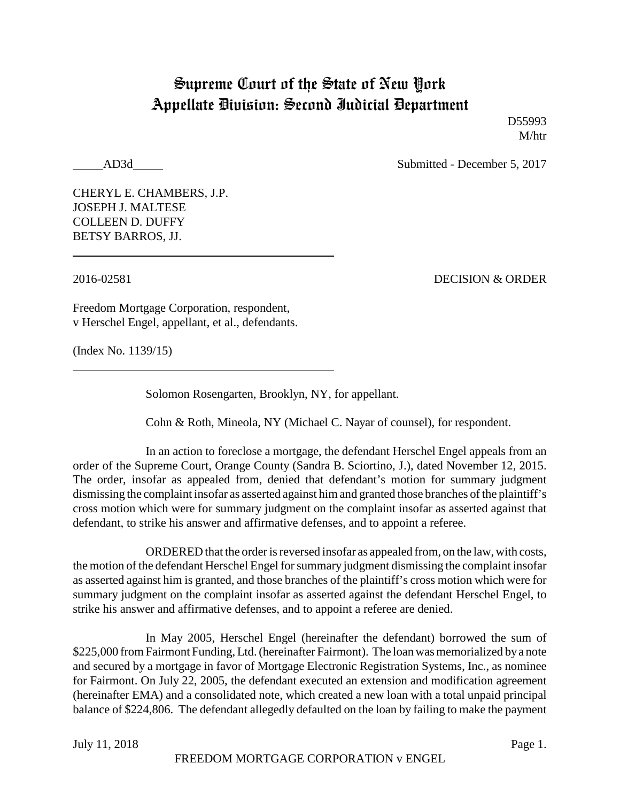## Supreme Court of the State of New York Appellate Division: Second Judicial Department

D55993 M/htr

AD3d Submitted - December 5, 2017

CHERYL E. CHAMBERS, J.P. JOSEPH J. MALTESE COLLEEN D. DUFFY BETSY BARROS, JJ.

2016-02581 DECISION & ORDER

Freedom Mortgage Corporation, respondent, v Herschel Engel, appellant, et al., defendants.

(Index No. 1139/15)

Solomon Rosengarten, Brooklyn, NY, for appellant.

Cohn & Roth, Mineola, NY (Michael C. Nayar of counsel), for respondent.

In an action to foreclose a mortgage, the defendant Herschel Engel appeals from an order of the Supreme Court, Orange County (Sandra B. Sciortino, J.), dated November 12, 2015. The order, insofar as appealed from, denied that defendant's motion for summary judgment dismissing the complaint insofar as asserted against him and granted those branches of the plaintiff's cross motion which were for summary judgment on the complaint insofar as asserted against that defendant, to strike his answer and affirmative defenses, and to appoint a referee.

ORDERED that the order is reversed insofar as appealed from, on the law, with costs, the motion of the defendant Herschel Engel for summary judgment dismissing the complaint insofar as asserted against him is granted, and those branches of the plaintiff's cross motion which were for summary judgment on the complaint insofar as asserted against the defendant Herschel Engel, to strike his answer and affirmative defenses, and to appoint a referee are denied.

In May 2005, Herschel Engel (hereinafter the defendant) borrowed the sum of \$225,000 from Fairmont Funding, Ltd. (hereinafter Fairmont). The loan was memorialized by a note and secured by a mortgage in favor of Mortgage Electronic Registration Systems, Inc., as nominee for Fairmont. On July 22, 2005, the defendant executed an extension and modification agreement (hereinafter EMA) and a consolidated note, which created a new loan with a total unpaid principal balance of \$224,806. The defendant allegedly defaulted on the loan by failing to make the payment

July 11, 2018 Page 1.

FREEDOM MORTGAGE CORPORATION v ENGEL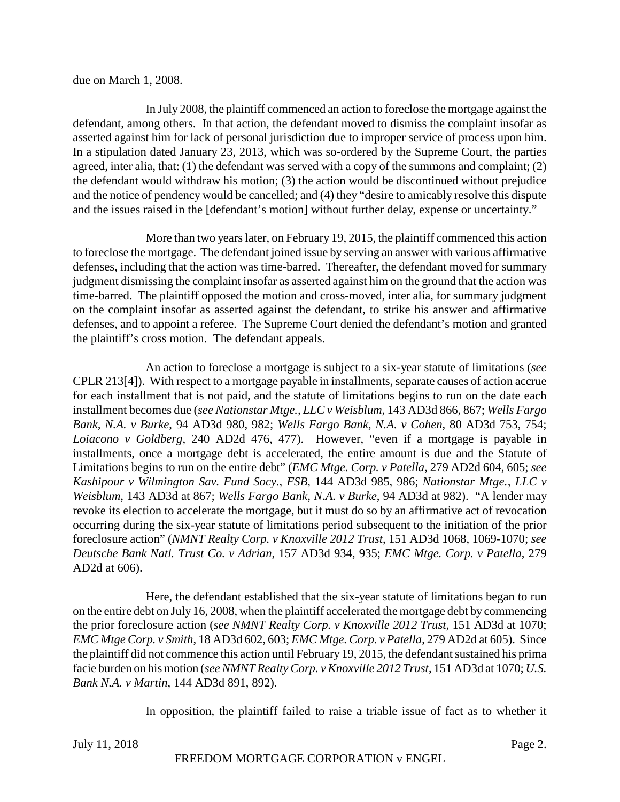due on March 1, 2008.

In July 2008, the plaintiff commenced an action to foreclose the mortgage against the defendant, among others. In that action, the defendant moved to dismiss the complaint insofar as asserted against him for lack of personal jurisdiction due to improper service of process upon him. In a stipulation dated January 23, 2013, which was so-ordered by the Supreme Court, the parties agreed, inter alia, that: (1) the defendant was served with a copy of the summons and complaint; (2) the defendant would withdraw his motion; (3) the action would be discontinued without prejudice and the notice of pendency would be cancelled; and (4) they "desire to amicably resolve this dispute and the issues raised in the [defendant's motion] without further delay, expense or uncertainty."

More than two years later, on February 19, 2015, the plaintiff commenced this action to foreclose the mortgage. The defendant joined issue by serving an answer with various affirmative defenses, including that the action was time-barred. Thereafter, the defendant moved for summary judgment dismissing the complaint insofar as asserted against him on the ground that the action was time-barred. The plaintiff opposed the motion and cross-moved, inter alia, for summary judgment on the complaint insofar as asserted against the defendant, to strike his answer and affirmative defenses, and to appoint a referee. The Supreme Court denied the defendant's motion and granted the plaintiff's cross motion. The defendant appeals.

An action to foreclose a mortgage is subject to a six-year statute of limitations (*see* CPLR 213[4]). With respect to a mortgage payable in installments, separate causes of action accrue for each installment that is not paid, and the statute of limitations begins to run on the date each installment becomes due (*see Nationstar Mtge., LLC v Weisblum*, 143 AD3d 866, 867; *Wells Fargo Bank, N.A. v Burke*, 94 AD3d 980, 982; *Wells Fargo Bank, N.A. v Cohen*, 80 AD3d 753, 754; *Loiacono v Goldberg*, 240 AD2d 476, 477). However, "even if a mortgage is payable in installments, once a mortgage debt is accelerated, the entire amount is due and the Statute of Limitations begins to run on the entire debt" (*EMC Mtge. Corp. v Patella*, 279 AD2d 604, 605; *see Kashipour v Wilmington Sav. Fund Socy., FSB*, 144 AD3d 985, 986; *Nationstar Mtge., LLC v Weisblum*, 143 AD3d at 867; *Wells Fargo Bank, N.A. v Burke*, 94 AD3d at 982). "A lender may revoke its election to accelerate the mortgage, but it must do so by an affirmative act of revocation occurring during the six-year statute of limitations period subsequent to the initiation of the prior foreclosure action" (*NMNT Realty Corp. v Knoxville 2012 Trust*, 151 AD3d 1068, 1069-1070; *see Deutsche Bank Natl. Trust Co. v Adrian*, 157 AD3d 934, 935; *EMC Mtge. Corp. v Patella*, 279 AD2d at 606).

Here, the defendant established that the six-year statute of limitations began to run on the entire debt on July 16, 2008, when the plaintiff accelerated the mortgage debt by commencing the prior foreclosure action (*see NMNT Realty Corp. v Knoxville 2012 Trust*, 151 AD3d at 1070; *EMC Mtge Corp. v Smith*, 18 AD3d 602, 603; *EMC Mtge. Corp. v Patella*, 279 AD2d at 605). Since the plaintiff did not commence this action until February 19, 2015, the defendant sustained his prima facie burden on his motion (*see NMNT Realty Corp. v Knoxville 2012 Trust*, 151 AD3d at 1070; *U.S. Bank N.A. v Martin*, 144 AD3d 891, 892).

In opposition, the plaintiff failed to raise a triable issue of fact as to whether it

July 11, 2018 Page 2.